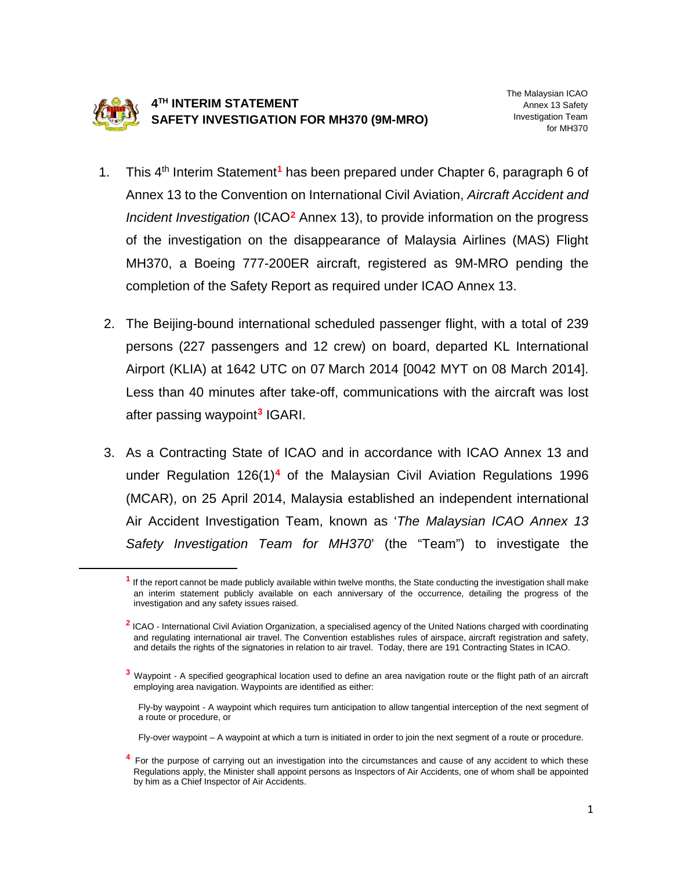

<span id="page-0-1"></span><span id="page-0-0"></span> $\overline{\phantom{a}}$ 

## **4TH INTERIM STATEMENT SAFETY INVESTIGATION FOR MH370 (9M-MRO)**

- 1. This 4th Interim Statement**[1](#page-0-0)** has been prepared under Chapter 6, paragraph 6 of Annex 13 to the Convention on International Civil Aviation, *Aircraft Accident and Incident Investigation* (ICAO**[2](#page-0-1)** Annex 13), to provide information on the progress of the investigation on the disappearance of Malaysia Airlines (MAS) Flight MH370, a Boeing 777-200ER aircraft, registered as 9M-MRO pending the completion of the Safety Report as required under ICAO Annex 13.
- 2. The Beijing-bound international scheduled passenger flight, with a total of 239 persons (227 passengers and 12 crew) on board, departed KL International Airport (KLIA) at 1642 UTC on 07 March 2014 [0042 MYT on 08 March 2014]. Less than 40 minutes after take-off, communications with the aircraft was lost after passing waypoint**[3](#page-0-2)** IGARI.
- 3. As a Contracting State of ICAO and in accordance with ICAO Annex 13 and under Regulation 126(1)**[4](#page-0-3)** of the Malaysian Civil Aviation Regulations 1996 (MCAR), on 25 April 2014, Malaysia established an independent international Air Accident Investigation Team, known as '*The Malaysian ICAO Annex 13 Safety Investigation Team for MH370*' (the "Team") to investigate the

Fly-by waypoint - A waypoint which requires turn anticipation to allow tangential interception of the next segment of a route or procedure, or

Fly-over waypoint – A waypoint at which a turn is initiated in order to join the next segment of a route or procedure.

<span id="page-0-3"></span><sup>4</sup> For the purpose of carrying out an investigation into the circumstances and cause of any accident to which these Regulations apply, the Minister shall appoint persons as Inspectors of Air Accidents, one of whom shall be appointed by him as a Chief Inspector of Air Accidents.

**<sup>1</sup>** If the report cannot be made publicly available within twelve months, the State conducting the investigation shall make an interim statement publicly available on each anniversary of the occurrence, detailing the progress of the investigation and any safety issues raised.

**<sup>2</sup>** ICAO - International Civil Aviation Organization, a specialised agency of the United Nations charged with coordinating and regulating international air travel. The Convention establishes rules of airspace, aircraft registration and safety, and details the rights of the signatories in relation to air travel. Today, there are 191 Contracting States in ICAO.

<span id="page-0-2"></span>**<sup>3</sup>** Waypoint - A specified geographical location used to define an area navigation route or the flight path of an aircraft employing area navigation. Waypoints are identified as either: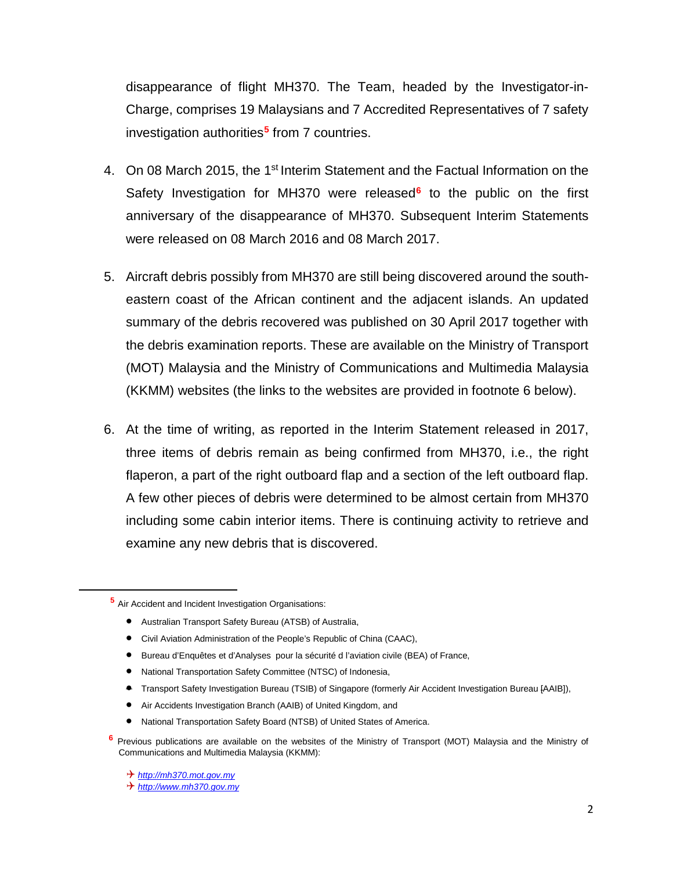disappearance of flight MH370. The Team, headed by the Investigator-in-Charge, comprises 19 Malaysians and 7 Accredited Representatives of 7 safety investigation authorities**[5](#page-1-0)** from 7 countries.

- 4. On 08 March 2015, the 1<sup>st</sup> Interim Statement and the Factual Information on the Safety Investigation for MH370 were released**[6](#page-1-1)** to the public on the first anniversary of the disappearance of MH370. Subsequent Interim Statements were released on 08 March 2016 and 08 March 2017.
- 5. Aircraft debris possibly from MH370 are still being discovered around the southeastern coast of the African continent and the adjacent islands. An updated summary of the debris recovered was published on 30 April 2017 together with the debris examination reports. These are available on the Ministry of Transport (MOT) Malaysia and the Ministry of Communications and Multimedia Malaysia (KKMM) websites (the links to the websites are provided in footnote 6 below).
- 6. At the time of writing, as reported in the Interim Statement released in 2017, three items of debris remain as being confirmed from MH370, i.e., the right flaperon, a part of the right outboard flap and a section of the left outboard flap. A few other pieces of debris were determined to be almost certain from MH370 including some cabin interior items. There is continuing activity to retrieve and examine any new debris that is discovered.

- Australian Transport Safety Bureau (ATSB) of Australia,
- Civil Aviation Administration of the People's Republic of China (CAAC),
- Bureau d'Enquêtes et d'Analyses pour la sécurité d l'aviation civile (BEA) of France,
- National Transportation Safety Committee (NTSC) of Indonesia,
- Transport Safety Investigation Bureau (TSIB) of Singapore (formerly Air Accident Investigation Bureau [AAIB]),
- Air Accidents Investigation Branch (AAIB) of United Kingdom, and
- National Transportation Safety Board (NTSB) of United States of America.
- <span id="page-1-1"></span>**<sup>6</sup>** Previous publications are available on the websites of the Ministry of Transport (MOT) Malaysia and the Ministry of Communications and Multimedia Malaysia (KKMM):

<span id="page-1-0"></span> $\overline{a}$ 

**<sup>5</sup>** Air Accident and Incident Investigation Organisations:

*[http://mh370.mot.gov.my](http://mh370.mot.gov.my/)*

*[http://www.mh370.gov.my](http://www.mh370.gov.my/)*